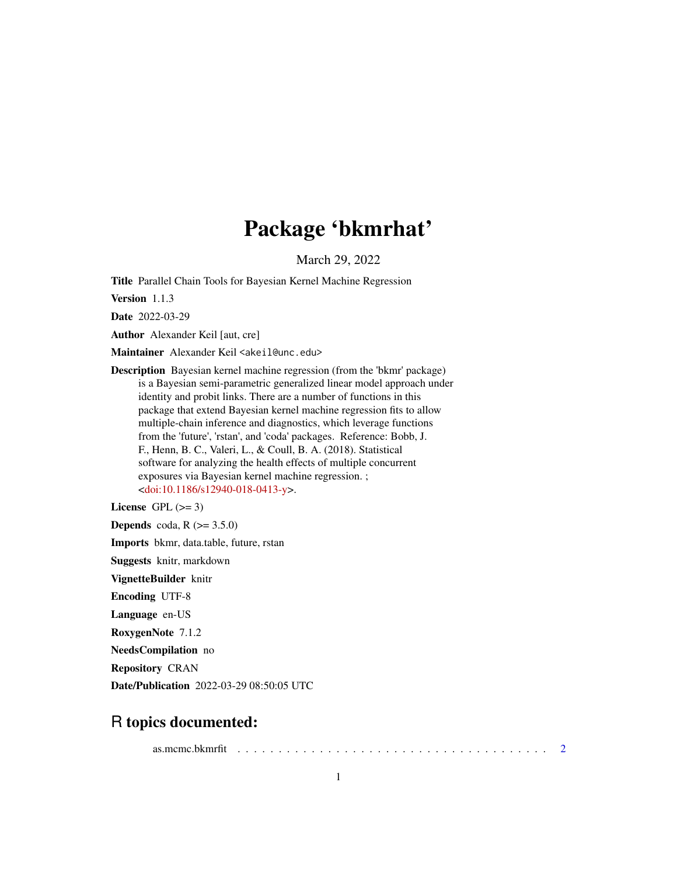# Package 'bkmrhat'

March 29, 2022

<span id="page-0-0"></span>Title Parallel Chain Tools for Bayesian Kernel Machine Regression

Version 1.1.3

Date 2022-03-29

Author Alexander Keil [aut, cre]

Maintainer Alexander Keil <akeil@unc.edu>

Description Bayesian kernel machine regression (from the 'bkmr' package) is a Bayesian semi-parametric generalized linear model approach under identity and probit links. There are a number of functions in this package that extend Bayesian kernel machine regression fits to allow multiple-chain inference and diagnostics, which leverage functions from the 'future', 'rstan', and 'coda' packages. Reference: Bobb, J. F., Henn, B. C., Valeri, L., & Coull, B. A. (2018). Statistical software for analyzing the health effects of multiple concurrent exposures via Bayesian kernel machine regression. ; [<doi:10.1186/s12940-018-0413-y>](https://doi.org/10.1186/s12940-018-0413-y).

License GPL  $(>= 3)$ 

**Depends** coda,  $R$  ( $>= 3.5.0$ )

Imports bkmr, data.table, future, rstan

Suggests knitr, markdown

VignetteBuilder knitr

Encoding UTF-8

Language en-US

RoxygenNote 7.1.2

NeedsCompilation no

Repository CRAN

Date/Publication 2022-03-29 08:50:05 UTC

# R topics documented:

as.mcmc.bkmrfit . . . . . . . . . . . . . . . . . . . . . . . . . . . . . . . . . . . . . . [2](#page-1-0)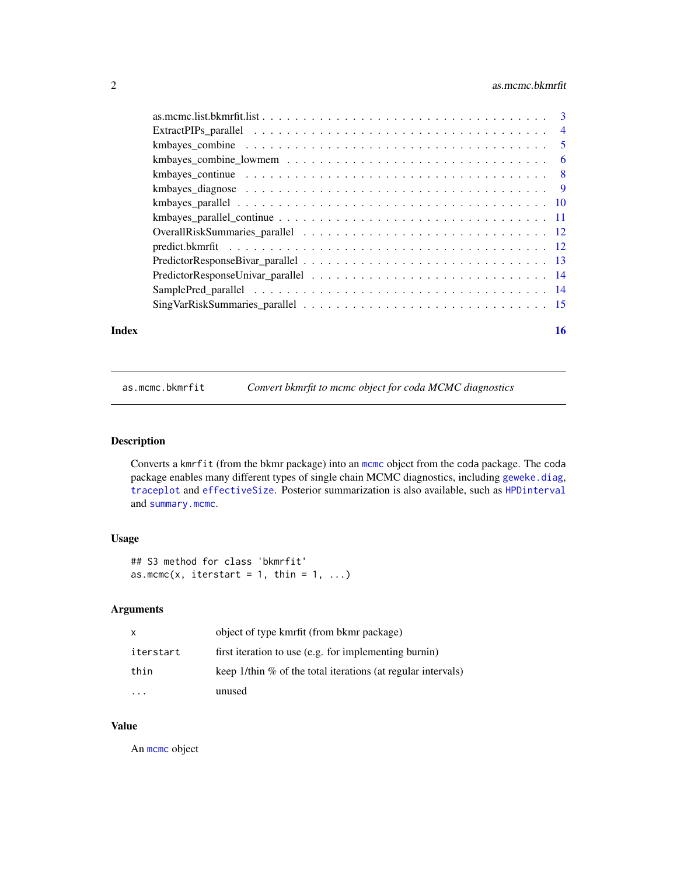# <span id="page-1-0"></span>2 as.mcmc.bkmrfit

|       | kmbayes_continue $\ldots \ldots \ldots \ldots \ldots \ldots \ldots \ldots \ldots \ldots \ldots \ldots$ |    |
|-------|--------------------------------------------------------------------------------------------------------|----|
|       |                                                                                                        |    |
|       |                                                                                                        |    |
|       |                                                                                                        |    |
|       |                                                                                                        |    |
|       |                                                                                                        |    |
|       |                                                                                                        |    |
|       |                                                                                                        |    |
|       |                                                                                                        |    |
|       |                                                                                                        |    |
| Index |                                                                                                        | 16 |

<span id="page-1-1"></span>as.mcmc.bkmrfit *Convert bkmrfit to mcmc object for coda MCMC diagnostics*

# Description

Converts a kmrfit (from the bkmr package) into an [mcmc](#page-0-0) object from the coda package. The coda package enables many different types of single chain MCMC diagnostics, including [geweke.diag](#page-0-0), [traceplot](#page-0-0) and [effectiveSize](#page-0-0). Posterior summarization is also available, such as [HPDinterval](#page-0-0) and [summary.mcmc](#page-0-0).

# Usage

## S3 method for class 'bkmrfit' as.mcmc(x, iterstart = 1, thin = 1, ...)

#### Arguments

| $\mathsf{x}$ | object of type kmrfit (from bkmr package)                       |
|--------------|-----------------------------------------------------------------|
| iterstart    | first iteration to use (e.g. for implementing burnin)           |
| thin         | keep 1/thin $\%$ of the total iterations (at regular intervals) |
|              | unused                                                          |

# Value

An [mcmc](#page-0-0) object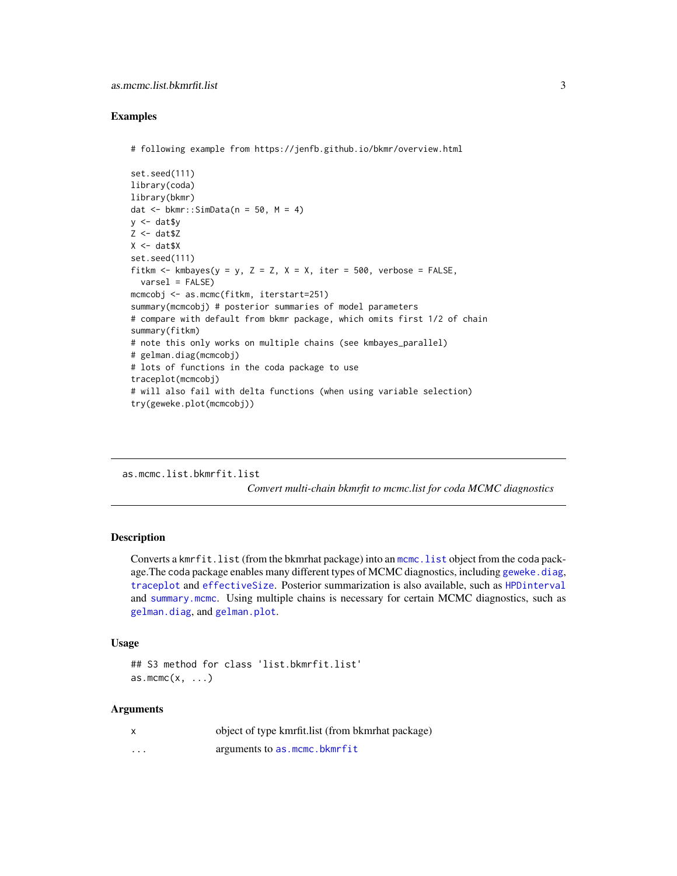#### <span id="page-2-0"></span>Examples

```
# following example from https://jenfb.github.io/bkmr/overview.html
```

```
set.seed(111)
library(coda)
library(bkmr)
dat \le bkmr::SimData(n = 50, M = 4)
y \le - dat$y
Z \leq - dat$Z
X \leq - dat$X
set.seed(111)
fitkm \le kmbayes(y = y, Z = Z, X = X, iter = 500, verbose = FALSE,
  varsel = FALSE)
mcmcobj <- as.mcmc(fitkm, iterstart=251)
summary(mcmcobj) # posterior summaries of model parameters
# compare with default from bkmr package, which omits first 1/2 of chain
summary(fitkm)
# note this only works on multiple chains (see kmbayes_parallel)
# gelman.diag(mcmcobj)
# lots of functions in the coda package to use
traceplot(mcmcobj)
# will also fail with delta functions (when using variable selection)
try(geweke.plot(mcmcobj))
```
as.mcmc.list.bkmrfit.list *Convert multi-chain bkmrfit to mcmc.list for coda MCMC diagnostics*

#### Description

Converts a kmrfit.list (from the bkmrhat package) into an [mcmc.list](#page-0-0) object from the coda package. The coda package enables many different types of MCMC diagnostics, including geweke. diag, [traceplot](#page-0-0) and [effectiveSize](#page-0-0). Posterior summarization is also available, such as [HPDinterval](#page-0-0) and [summary.mcmc](#page-0-0). Using multiple chains is necessary for certain MCMC diagnostics, such as [gelman.diag](#page-0-0), and [gelman.plot](#page-0-0).

#### Usage

```
## S3 method for class 'list.bkmrfit.list'
as.mcmc(x, \ldots)
```
#### Arguments

|   | object of type kmrfit.list (from b kmrhat package) |
|---|----------------------------------------------------|
| . | arguments to as mcmc.bkmrfit                       |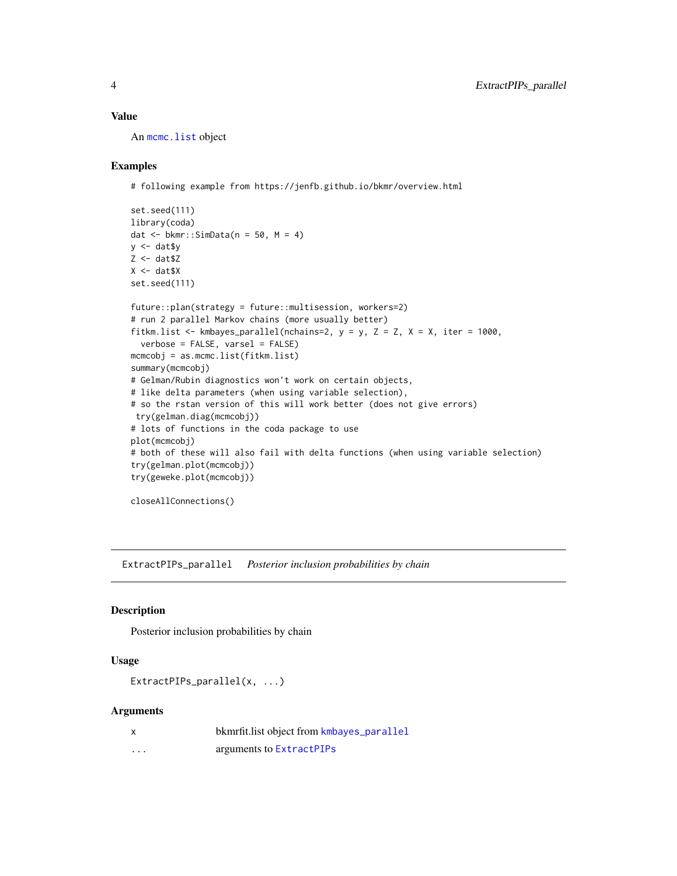### <span id="page-3-0"></span>Value

An [mcmc.list](#page-0-0) object

#### Examples

# following example from https://jenfb.github.io/bkmr/overview.html

```
set.seed(111)
library(coda)
dat \le bkmr::SimData(n = 50, M = 4)
y \le - dat$y
Z \leftarrow \text{dat$Z}X \leftarrow \text{dat$X}set.seed(111)
future::plan(strategy = future::multisession, workers=2)
# run 2 parallel Markov chains (more usually better)
fitkm.list <- kmbayes_parallel(nchains=2, y = y, Z = Z, X = X, iter = 1000,
  verbose = FALSE, varsel = FALSE)
mcmcobj = as.mcmc.list(fitkm.list)
summary(mcmcobj)
# Gelman/Rubin diagnostics won't work on certain objects,
# like delta parameters (when using variable selection),
# so the rstan version of this will work better (does not give errors)
try(gelman.diag(mcmcobj))
# lots of functions in the coda package to use
plot(mcmcobj)
# both of these will also fail with delta functions (when using variable selection)
try(gelman.plot(mcmcobj))
try(geweke.plot(mcmcobj))
closeAllConnections()
```
ExtractPIPs\_parallel *Posterior inclusion probabilities by chain*

#### Description

Posterior inclusion probabilities by chain

# Usage

```
ExtractPIPs_parallel(x, ...)
```
## Arguments

| x        | bkmrfit.list object from kmbayes_parallel |
|----------|-------------------------------------------|
| $\cdots$ | arguments to ExtractPIPs                  |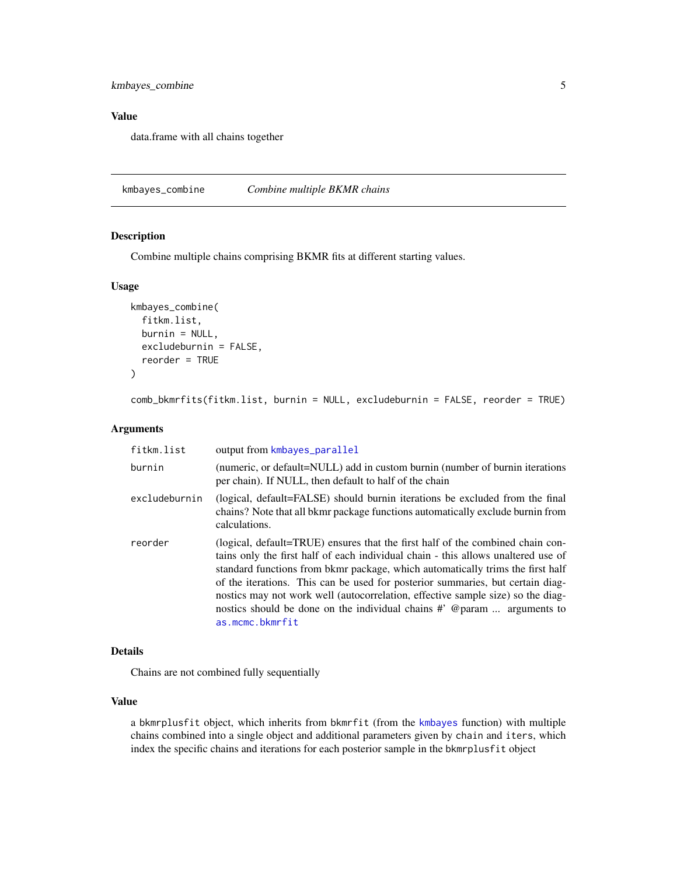<span id="page-4-0"></span>kmbayes\_combine 5

# Value

data.frame with all chains together

kmbayes\_combine *Combine multiple BKMR chains*

# Description

Combine multiple chains comprising BKMR fits at different starting values.

#### Usage

```
kmbayes_combine(
  fitkm.list,
 burnin = NULL,excludeburnin = FALSE,
  reorder = TRUE
)
```
comb\_bkmrfits(fitkm.list, burnin = NULL, excludeburnin = FALSE, reorder = TRUE)

#### Arguments

| fitkm.list    | output from kmbayes_parallel                                                                                                                                                                                                                                                                                                                                                                                                                                                                                            |
|---------------|-------------------------------------------------------------------------------------------------------------------------------------------------------------------------------------------------------------------------------------------------------------------------------------------------------------------------------------------------------------------------------------------------------------------------------------------------------------------------------------------------------------------------|
| burnin        | (numeric, or default=NULL) add in custom burnin (number of burnin iterations<br>per chain). If NULL, then default to half of the chain                                                                                                                                                                                                                                                                                                                                                                                  |
| excludeburnin | (logical, default=FALSE) should burnin iterations be excluded from the final<br>chains? Note that all bkmr package functions automatically exclude burnin from<br>calculations.                                                                                                                                                                                                                                                                                                                                         |
| reorder       | (logical, default=TRUE) ensures that the first half of the combined chain con-<br>tains only the first half of each individual chain - this allows unaltered use of<br>standard functions from bkmr package, which automatically trims the first half<br>of the iterations. This can be used for posterior summaries, but certain diag-<br>nostics may not work well (autocorrelation, effective sample size) so the diag-<br>nostics should be done on the individual chains # @param  arguments to<br>as.mcmc.bkmrfit |

#### Details

Chains are not combined fully sequentially

#### Value

a bkmrplusfit object, which inherits from bkmrfit (from the [kmbayes](#page-0-0) function) with multiple chains combined into a single object and additional parameters given by chain and iters, which index the specific chains and iterations for each posterior sample in the bkmrplusfit object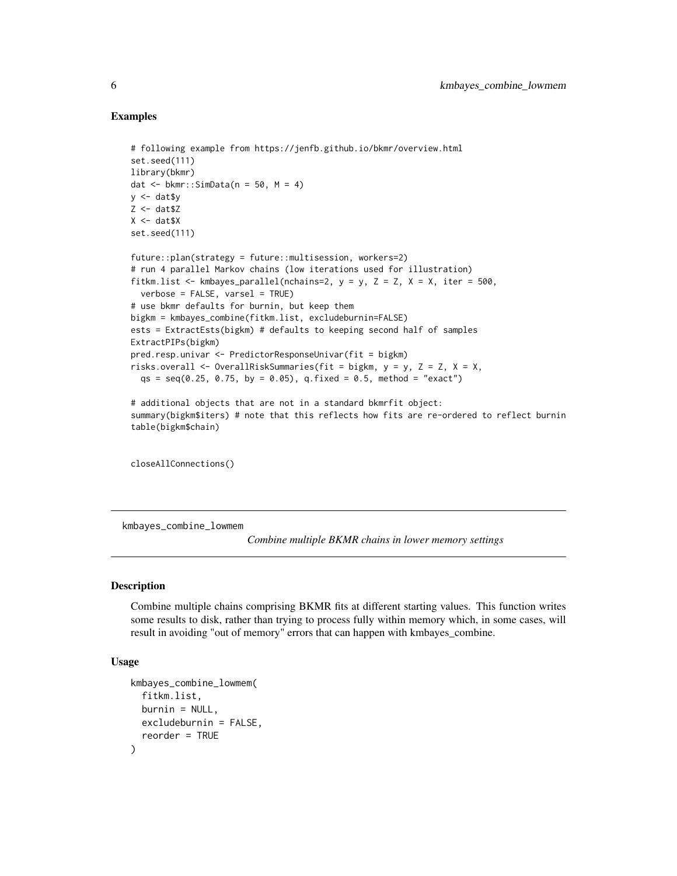#### Examples

```
# following example from https://jenfb.github.io/bkmr/overview.html
set.seed(111)
library(bkmr)
dat \leq bkmr::SimData(n = 50, M = 4)
y \le - dat$y
Z <- dat$Z
X \leftarrow \text{dat$X}set.seed(111)
future::plan(strategy = future::multisession, workers=2)
# run 4 parallel Markov chains (low iterations used for illustration)
fitkm.list <- kmbayes_parallel(nchains=2, y = y, Z = Z, X = X, iter = 500,
  verbose = FALSE, varsel = TRUE)# use bkmr defaults for burnin, but keep them
bigkm = kmbayes_combine(fitkm.list, excludeburnin=FALSE)
ests = ExtractEsts(bigkm) # defaults to keeping second half of samples
ExtractPIPs(bigkm)
pred.resp.univar <- PredictorResponseUnivar(fit = bigkm)
risks.overall <- OverallRiskSummaries(fit = bigkm, y = y, Z = Z, X = X,
  qs = seq(0.25, 0.75, by = 0.05), q.fixed = 0.5, method = "exact")# additional objects that are not in a standard bkmrfit object:
summary(bigkm$iters) # note that this reflects how fits are re-ordered to reflect burnin
table(bigkm$chain)
```
closeAllConnections()

kmbayes\_combine\_lowmem

*Combine multiple BKMR chains in lower memory settings*

#### Description

Combine multiple chains comprising BKMR fits at different starting values. This function writes some results to disk, rather than trying to process fully within memory which, in some cases, will result in avoiding "out of memory" errors that can happen with kmbayes\_combine.

#### Usage

```
kmbayes_combine_lowmem(
  fitkm.list,
 burnin = NULL,
 excludeburnin = FALSE,
  reorder = TRUE
)
```
<span id="page-5-0"></span>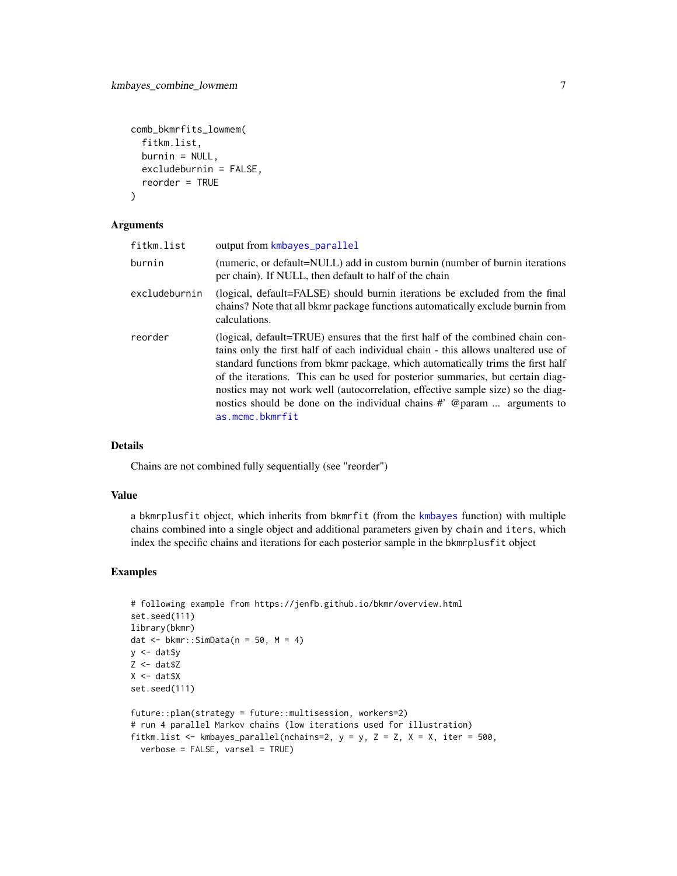```
comb_bkmrfits_lowmem(
  fitkm.list,
 burnin = NULL,
  excludeburnin = FALSE,
  reorder = TRUE
\lambda
```
#### Arguments

| fitkm.list    | output from kmbayes_parallel                                                                                                                                                                                                                                                                                                                                                                                                                                                                                              |
|---------------|---------------------------------------------------------------------------------------------------------------------------------------------------------------------------------------------------------------------------------------------------------------------------------------------------------------------------------------------------------------------------------------------------------------------------------------------------------------------------------------------------------------------------|
| burnin        | (numeric, or default=NULL) add in custom burnin (number of burnin iterations<br>per chain). If NULL, then default to half of the chain                                                                                                                                                                                                                                                                                                                                                                                    |
| excludeburnin | (logical, default=FALSE) should burnin iterations be excluded from the final<br>chains? Note that all bkmr package functions automatically exclude burnin from<br>calculations.                                                                                                                                                                                                                                                                                                                                           |
| reorder       | (logical, default=TRUE) ensures that the first half of the combined chain con-<br>tains only the first half of each individual chain - this allows unaltered use of<br>standard functions from b kmr package, which automatically trims the first half<br>of the iterations. This can be used for posterior summaries, but certain diag-<br>nostics may not work well (autocorrelation, effective sample size) so the diag-<br>nostics should be done on the individual chains # @ param  arguments to<br>as.mcmc.bkmrfit |

# Details

Chains are not combined fully sequentially (see "reorder")

#### Value

a bkmrplusfit object, which inherits from bkmrfit (from the [kmbayes](#page-0-0) function) with multiple chains combined into a single object and additional parameters given by chain and iters, which index the specific chains and iterations for each posterior sample in the bkmrplusfit object

```
# following example from https://jenfb.github.io/bkmr/overview.html
set.seed(111)
library(bkmr)
dat \leq bkmr::SimData(n = 50, M = 4)
y <- dat$y
Z \leftarrow \text{dat$Z}X < - dat$X
set.seed(111)
future::plan(strategy = future::multisession, workers=2)
# run 4 parallel Markov chains (low iterations used for illustration)
fitkm.list <- kmbayes_parallel(nchains=2, y = y, Z = Z, X = X, iter = 500,
  verbose = FALSE, varsel = TRUE)
```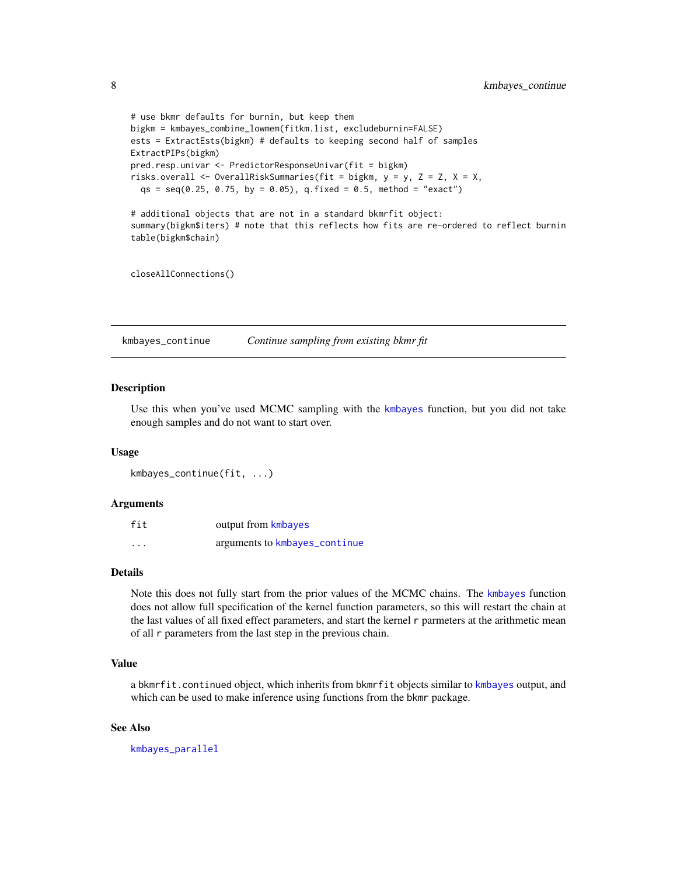```
# use bkmr defaults for burnin, but keep them
bigkm = kmbayes_combine_lowmem(fitkm.list, excludeburnin=FALSE)
ests = ExtractEsts(bigkm) # defaults to keeping second half of samples
ExtractPIPs(bigkm)
pred.resp.univar <- PredictorResponseUnivar(fit = bigkm)
risks.overall <- OverallRiskSummaries(fit = bigkm, y = y, Z = Z, X = X,
  qs = seq(0.25, 0.75, by = 0.05), q.fixed = 0.5, method = "exact")# additional objects that are not in a standard bkmrfit object:
summary(bigkm$iters) # note that this reflects how fits are re-ordered to reflect burnin
table(bigkm$chain)
```
closeAllConnections()

<span id="page-7-1"></span>kmbayes\_continue *Continue sampling from existing bkmr fit*

#### Description

Use this when you've used MCMC sampling with the [kmbayes](#page-0-0) function, but you did not take enough samples and do not want to start over.

#### Usage

kmbayes\_continue(fit, ...)

#### **Arguments**

| fit      | output from kmbayes           |
|----------|-------------------------------|
| $\cdots$ | arguments to kmbayes_continue |

## Details

Note this does not fully start from the prior values of the MCMC chains. The [kmbayes](#page-0-0) function does not allow full specification of the kernel function parameters, so this will restart the chain at the last values of all fixed effect parameters, and start the kernel r parmeters at the arithmetic mean of all r parameters from the last step in the previous chain.

#### Value

a bkmrfit.continued object, which inherits from bkmrfit objects similar to [kmbayes](#page-0-0) output, and which can be used to make inference using functions from the bkmr package.

#### See Also

[kmbayes\\_parallel](#page-9-1)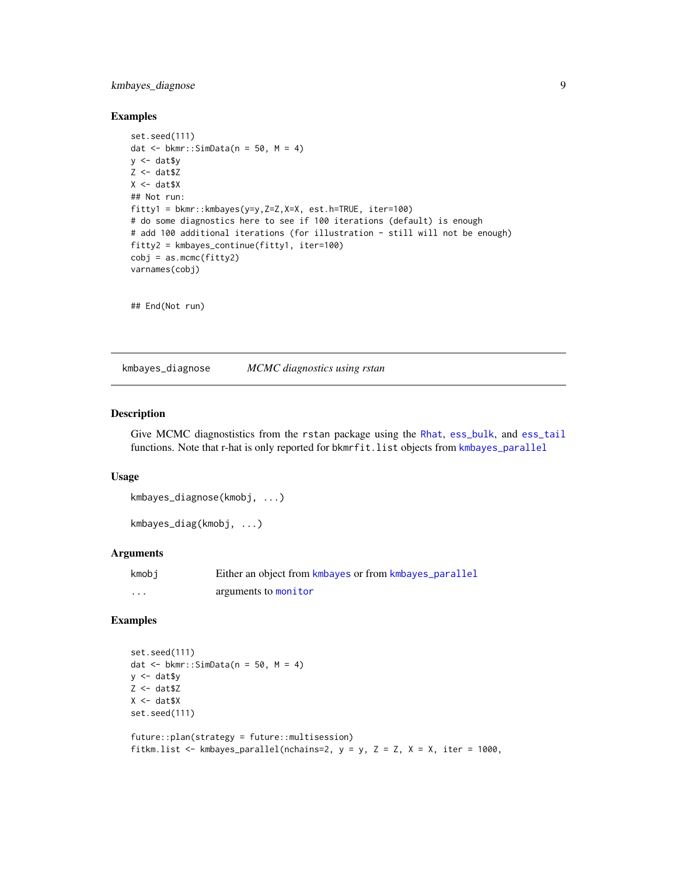# <span id="page-8-0"></span>kmbayes\_diagnose 9

#### Examples

```
set.seed(111)
dat \le bkmr::SimData(n = 50, M = 4)
y \le - dat$y
Z \leftarrow \text{dat$Z}X \leftarrow \text{dat$X}## Not run:
fitty1 = bkmr::kmbayes(y=y,Z=Z,X=X, est.h=TRUE, iter=100)
# do some diagnostics here to see if 100 iterations (default) is enough
# add 100 additional iterations (for illustration - still will not be enough)
fitty2 = kmbayes_continue(fitty1, iter=100)
cobj = as.mcmc(fitty2)varnames(cobj)
```
## End(Not run)

kmbayes\_diagnose *MCMC diagnostics using rstan*

### Description

Give MCMC diagnostistics from the rstan package using the [Rhat](#page-0-0), [ess\\_bulk](#page-0-0), and [ess\\_tail](#page-0-0) functions. Note that r-hat is only reported for bkmrfit.list objects from [kmbayes\\_parallel](#page-9-1)

#### Usage

```
kmbayes_diagnose(kmobj, ...)
```

```
kmbayes_diag(kmobj, ...)
```
# Arguments

| kmobi | Either an object from kmbayes or from kmbayes_parallel |
|-------|--------------------------------------------------------|
| .     | arguments to monitor                                   |

```
set.seed(111)
dat \le bkmr::SimData(n = 50, M = 4)
y \le - dat$y
Z <- dat$Z
X < - dat$X
set.seed(111)
future::plan(strategy = future::multisession)
```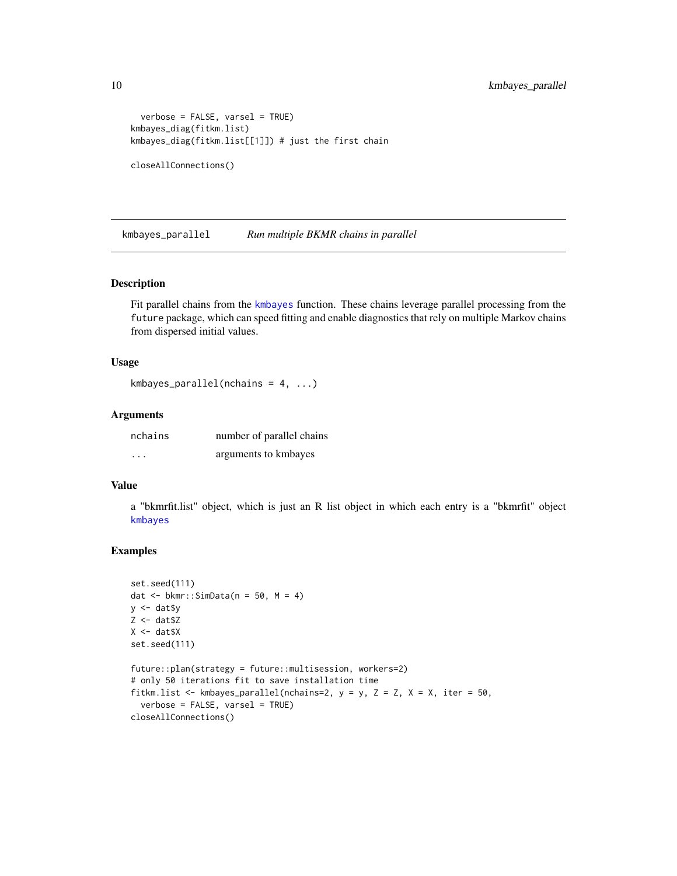```
verbose = FALSE, varsel = TRUE)
kmbayes_diag(fitkm.list)
kmbayes_diag(fitkm.list[[1]]) # just the first chain
closeAllConnections()
```
<span id="page-9-1"></span>kmbayes\_parallel *Run multiple BKMR chains in parallel*

#### Description

Fit parallel chains from the [kmbayes](#page-0-0) function. These chains leverage parallel processing from the future package, which can speed fitting and enable diagnostics that rely on multiple Markov chains from dispersed initial values.

#### Usage

```
kmbayes_parallel(nchains = 4, ...)
```
#### Arguments

| nchains  | number of parallel chains |
|----------|---------------------------|
| $\cdots$ | arguments to kmbayes      |

#### Value

a "bkmrfit.list" object, which is just an R list object in which each entry is a "bkmrfit" object [kmbayes](#page-0-0)

```
set.seed(111)
dat \leq bkmr::SimData(n = 50, M = 4)
y <- dat$y
Z <- dat$Z
X \leftarrow \text{dat$X}set.seed(111)
future::plan(strategy = future::multisession, workers=2)
# only 50 iterations fit to save installation time
fitkm.list <- kmbayes_parallel(nchains=2, y = y, Z = Z, X = X, iter = 50,
  verbose = FALSE, varsel = TRUE)
closeAllConnections()
```
<span id="page-9-0"></span>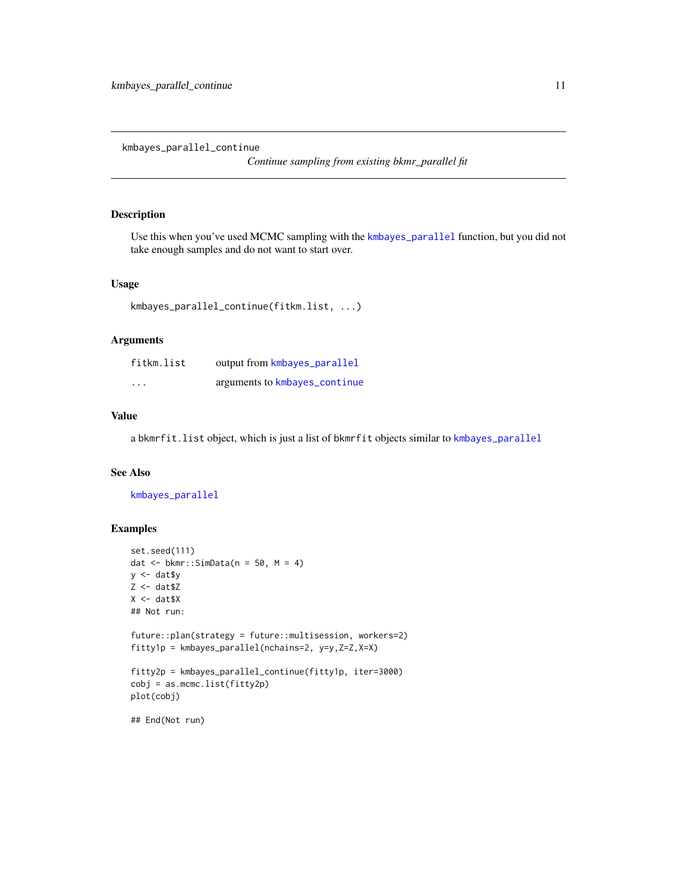<span id="page-10-0"></span>kmbayes\_parallel\_continue

*Continue sampling from existing bkmr\_parallel fit*

#### Description

Use this when you've used MCMC sampling with the [kmbayes\\_parallel](#page-9-1) function, but you did not take enough samples and do not want to start over.

#### Usage

```
kmbayes_parallel_continue(fitkm.list, ...)
```
## Arguments

| fitkm.list | output from kmbayes_parallel  |
|------------|-------------------------------|
| $\cdots$   | arguments to kmbayes_continue |

#### Value

a bkmrfit.list object, which is just a list of bkmrfit objects similar to [kmbayes\\_parallel](#page-9-1)

#### See Also

[kmbayes\\_parallel](#page-9-1)

```
set.seed(111)
dat \leq bkmr::SimData(n = 50, M = 4)
y \le - dat$y
Z <- dat$Z
X \leq - dat$X
## Not run:
future::plan(strategy = future::multisession, workers=2)
fitty1p = kmbayes_parallel(nchains=2, y=y,Z=Z,X=X)
fitty2p = kmbayes_parallel_continue(fitty1p, iter=3000)
cobj = as.mcmc.list(fitty2p)
plot(cobj)
## End(Not run)
```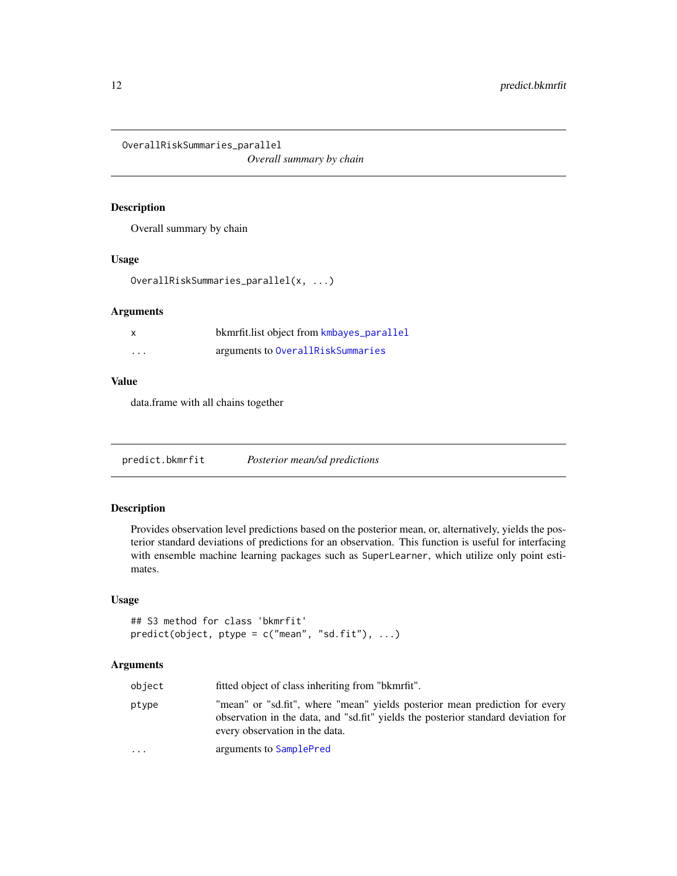<span id="page-11-0"></span>OverallRiskSummaries\_parallel

*Overall summary by chain*

## Description

Overall summary by chain

#### Usage

OverallRiskSummaries\_parallel(x, ...)

#### Arguments

| $\boldsymbol{\mathsf{x}}$ | bkmrfit.list object from kmbayes_parallel |
|---------------------------|-------------------------------------------|
| $\cdots$                  | arguments to OverallRiskSummaries         |

#### Value

data.frame with all chains together

predict.bkmrfit *Posterior mean/sd predictions*

# Description

Provides observation level predictions based on the posterior mean, or, alternatively, yields the posterior standard deviations of predictions for an observation. This function is useful for interfacing with ensemble machine learning packages such as SuperLearner, which utilize only point estimates.

# Usage

```
## S3 method for class 'bkmrfit'
predict(object, ptype = c("mean", "sd.fit"), ...)
```
#### Arguments

| object    | fitted object of class inheriting from "bkmrfit".                                                                                                                                                  |
|-----------|----------------------------------------------------------------------------------------------------------------------------------------------------------------------------------------------------|
| ptype     | "mean" or "sd.fit", where "mean" yields posterior mean prediction for every<br>observation in the data, and "sd.fit" yields the posterior standard deviation for<br>every observation in the data. |
| $\ddotsc$ | arguments to SamplePred                                                                                                                                                                            |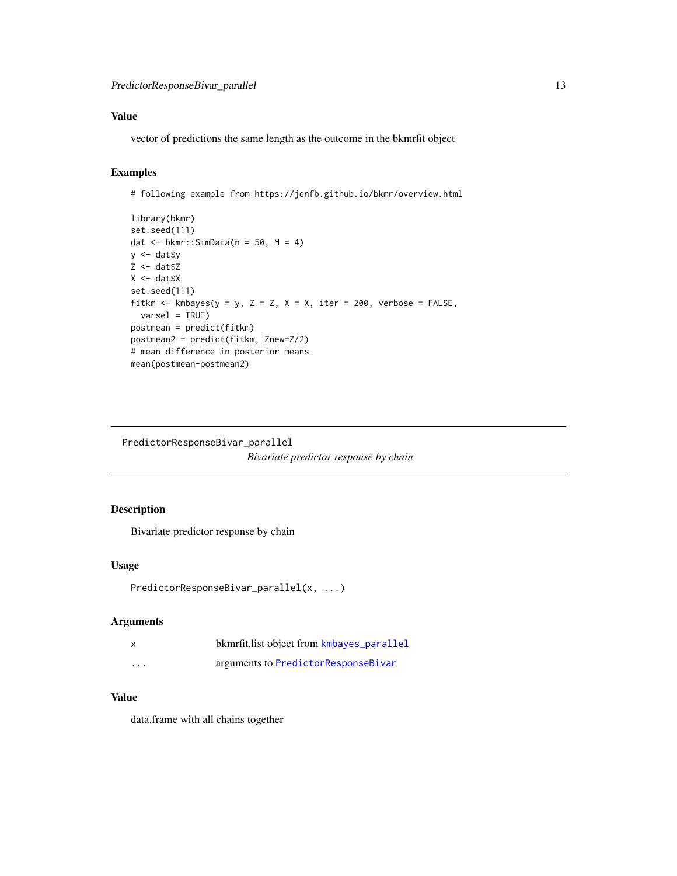# <span id="page-12-0"></span>Value

vector of predictions the same length as the outcome in the bkmrfit object

# Examples

# following example from https://jenfb.github.io/bkmr/overview.html

```
library(bkmr)
set.seed(111)
dat <- bkmr::SimData(n = 50, M = 4)
y <- dat$y
Z <- dat$Z
X < - dat$X
set.seed(111)
fitkm <- kmbayes(y = y, Z = Z, X = X, iter = 200, verbose = FALSE,
  varsel = TRUE)
postmean = predict(fitkm)
postmean2 = predict(fitkm, Znew=Z/2)
# mean difference in posterior means
mean(postmean-postmean2)
```
PredictorResponseBivar\_parallel *Bivariate predictor response by chain*

# Description

Bivariate predictor response by chain

#### Usage

```
PredictorResponseBivar_parallel(x, ...)
```
#### Arguments

| $\boldsymbol{\mathsf{x}}$ | bkmrfit.list object from kmbayes_parallel |
|---------------------------|-------------------------------------------|
| $\cdots$                  | arguments to PredictorResponseBivar       |

#### Value

data.frame with all chains together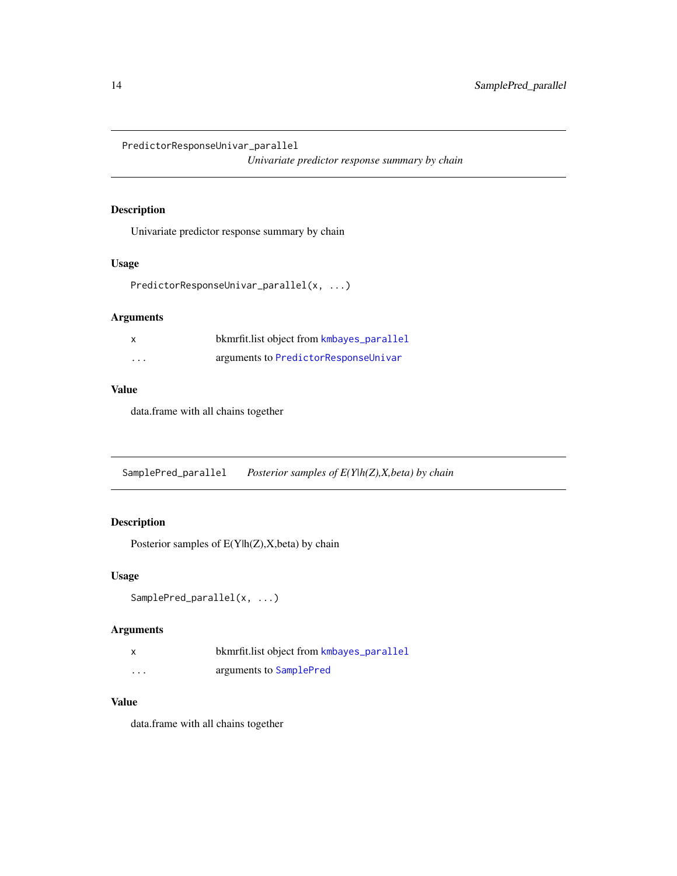<span id="page-13-0"></span>PredictorResponseUnivar\_parallel

*Univariate predictor response summary by chain*

# Description

Univariate predictor response summary by chain

#### Usage

PredictorResponseUnivar\_parallel(x, ...)

# Arguments

| $\mathsf{x}$ | bkmrfit.list object from kmbayes_parallel |
|--------------|-------------------------------------------|
| $\cdots$     | arguments to PredictorResponseUnivar      |

# Value

data.frame with all chains together

SamplePred\_parallel *Posterior samples of E(Y|h(Z),X,beta) by chain*

# Description

Posterior samples of  $E(Y|h(Z),X,beta)$  by chain

# Usage

```
SamplePred_parallel(x, ...)
```
#### Arguments

|          | bkmrfit.list object from kmbayes_parallel |
|----------|-------------------------------------------|
| $\cdots$ | arguments to SamplePred                   |

# Value

data.frame with all chains together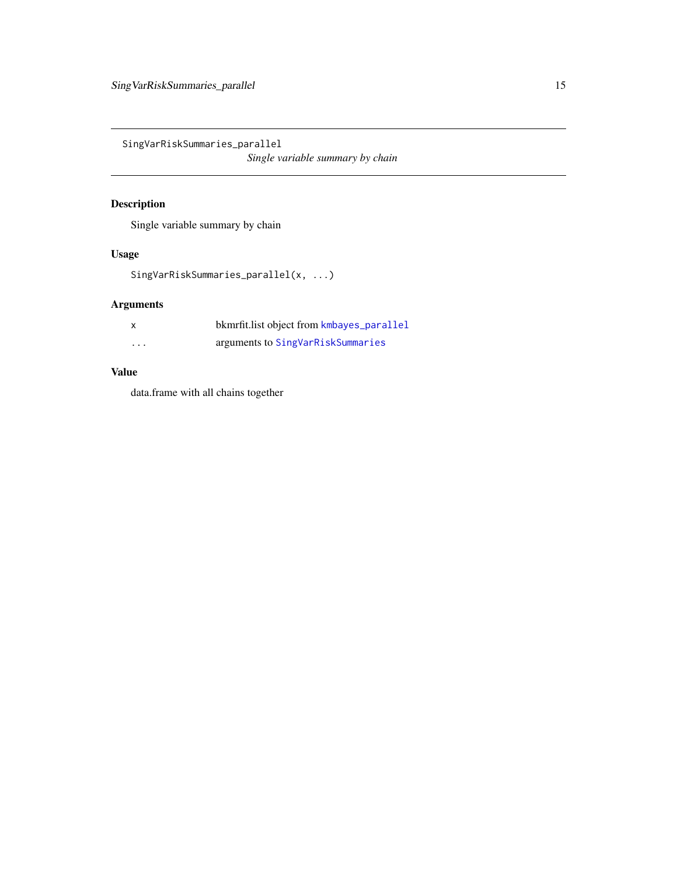<span id="page-14-0"></span>SingVarRiskSummaries\_parallel *Single variable summary by chain*

# Description

Single variable summary by chain

# Usage

SingVarRiskSummaries\_parallel(x, ...)

# Arguments

| x        | bkmrfit.list object from kmbayes_parallel |
|----------|-------------------------------------------|
| $\cdots$ | arguments to SingVarRiskSummaries         |

# Value

data.frame with all chains together